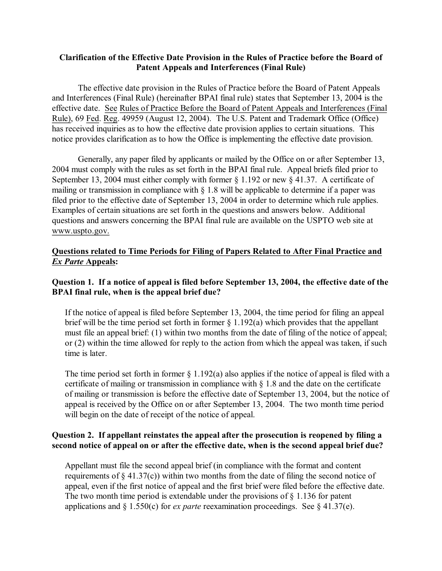#### **Clarification of the Effective Date Provision in the Rules of Practice before the Board of Patent Appeals and Interferences (Final Rule)**

The effective date provision in the Rules of Practice before the Board of Patent Appeals and Interferences (Final Rule) (hereinafter BPAI final rule) states that September 13, 2004 is the effective date. See Rules of Practice Before the Board of Patent Appeals and Interferences (Final Rule), 69 Fed. Reg. 49959 (August 12, 2004). The U.S. Patent and Trademark Office (Office) has received inquiries as to how the effective date provision applies to certain situations. This notice provides clarification as to how the Office is implementing the effective date provision.

Generally, any paper filed by applicants or mailed by the Office on or after September 13, 2004 must comply with the rules as set forth in the BPAI final rule. Appeal briefs filed prior to September 13, 2004 must either comply with former § 1.192 or new § 41.37. A certificate of mailing or transmission in compliance with § 1.8 will be applicable to determine if a paper was filed prior to the effective date of September 13, 2004 in order to determine which rule applies. Examples of certain situations are set forth in the questions and answers below. Additional questions and answers concerning the BPAI final rule are available on the USPTO web site at [www.uspto.gov.](http://www.uspto.gov.)

# **Questions related to Time Periods for Filing of Papers Related to After Final Practice and**  *Ex Parte* **Appeals:**

# **Question 1. If a notice of appeal is filed before September 13, 2004, the effective date of the BPAI final rule, when is the appeal brief due?**

If the notice of appeal is filed before September 13, 2004, the time period for filing an appeal brief will be the time period set forth in former  $\S 1.192(a)$  which provides that the appellant must file an appeal brief: (1) within two months from the date of filing of the notice of appeal; or (2) within the time allowed for reply to the action from which the appeal was taken, if such time is later.

The time period set forth in former  $\S 1.192(a)$  also applies if the notice of appeal is filed with a certificate of mailing or transmission in compliance with § 1.8 and the date on the certificate of mailing or transmission is before the effective date of September 13, 2004, but the notice of appeal is received by the Office on or after September 13, 2004. The two month time period will begin on the date of receipt of the notice of appeal.

# **Question 2. If appellant reinstates the appeal after the prosecution is reopened by filing a second notice of appeal on or after the effective date, when is the second appeal brief due?**

Appellant must file the second appeal brief (in compliance with the format and content requirements of  $\S 41.37(c)$ ) within two months from the date of filing the second notice of appeal, even if the first notice of appeal and the first brief were filed before the effective date. The two month time period is extendable under the provisions of  $\S$  1.136 for patent applications and § 1.550(c) for *ex parte* reexamination proceedings. See § 41.37(e).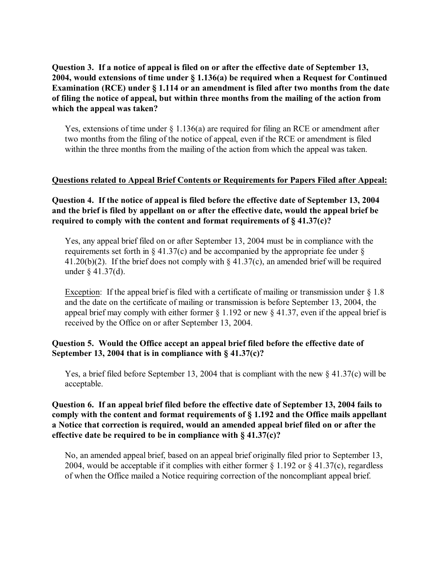# **Question 3. If a notice of appeal is filed on or after the effective date of September 13, 2004, would extensions of time under § 1.136(a) be required when a Request for Continued Examination (RCE) under § 1.114 or an amendment is filed after two months from the date of filing the notice of appeal, but within three months from the mailing of the action from which the appeal was taken?**

Yes, extensions of time under  $\S$  1.136(a) are required for filing an RCE or amendment after two months from the filing of the notice of appeal, even if the RCE or amendment is filed within the three months from the mailing of the action from which the appeal was taken.

#### **Questions related to Appeal Brief Contents or Requirements for Papers Filed after Appeal:**

**Question 4. If the notice of appeal is filed before the effective date of September 13, 2004 and the brief is filed by appellant on or after the effective date, would the appeal brief be required to comply with the content and format requirements of § 41.37(c)?** 

Yes, any appeal brief filed on or after September 13, 2004 must be in compliance with the requirements set forth in  $\S$  41.37(c) and be accompanied by the appropriate fee under  $\S$ 41.20(b)(2). If the brief does not comply with  $\S$  41.37(c), an amended brief will be required under § 41.37(d).

Exception: If the appeal brief is filed with a certificate of mailing or transmission under § 1.8 and the date on the certificate of mailing or transmission is before September 13, 2004, the appeal brief may comply with either former  $\S 1.192$  or new  $\S 41.37$ , even if the appeal brief is received by the Office on or after September 13, 2004.

# **Question 5. Would the Office accept an appeal brief filed before the effective date of September 13, 2004 that is in compliance with § 41.37(c)?**

Yes, a brief filed before September 13, 2004 that is compliant with the new  $\S 41.37(c)$  will be acceptable.

# **Question 6. If an appeal brief filed before the effective date of September 13, 2004 fails to comply with the content and format requirements of § 1.192 and the Office mails appellant a Notice that correction is required, would an amended appeal brief filed on or after the effective date be required to be in compliance with § 41.37(c)?**

No, an amended appeal brief, based on an appeal brief originally filed prior to September 13, 2004, would be acceptable if it complies with either former  $\S 1.192$  or  $\S 41.37(c)$ , regardless of when the Office mailed a Notice requiring correction of the noncompliant appeal brief.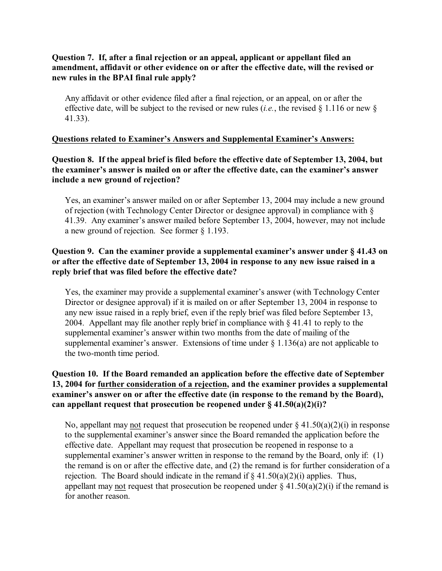# **Question 7. If, after a final rejection or an appeal, applicant or appellant filed an amendment, affidavit or other evidence on or after the effective date, will the revised or new rules in the BPAI final rule apply?**

Any affidavit or other evidence filed after a final rejection, or an appeal, on or after the effective date, will be subject to the revised or new rules (*i.e.*, the revised  $\S$  1.116 or new  $\S$ 41.33).

#### **Questions related to Examiner's Answers and Supplemental Examiner's Answers:**

# **Question 8. If the appeal brief is filed before the effective date of September 13, 2004, but the examiner's answer is mailed on or after the effective date, can the examiner's answer include a new ground of rejection?**

Yes, an examiner's answer mailed on or after September 13, 2004 may include a new ground of rejection (with Technology Center Director or designee approval) in compliance with § 41.39. Any examiner's answer mailed before September 13, 2004, however, may not include a new ground of rejection. See former § 1.193.

# **Question 9. Can the examiner provide a supplemental examiner's answer under § 41.43 on or after the effective date of September 13, 2004 in response to any new issue raised in a reply brief that was filed before the effective date?**

Yes, the examiner may provide a supplemental examiner's answer (with Technology Center Director or designee approval) if it is mailed on or after September 13, 2004 in response to any new issue raised in a reply brief, even if the reply brief was filed before September 13, 2004. Appellant may file another reply brief in compliance with § 41.41 to reply to the supplemental examiner's answer within two months from the date of mailing of the supplemental examiner's answer. Extensions of time under  $\S$  1.136(a) are not applicable to the two-month time period.

#### **Question 10. If the Board remanded an application before the effective date of September 13, 2004 for further consideration of a rejection, and the examiner provides a supplemental examiner's answer on or after the effective date (in response to the remand by the Board), can appellant request that prosecution be reopened under § 41.50(a)(2)(i)?**

No, appellant may not request that prosecution be reopened under  $\S 41.50(a)(2)(i)$  in response to the supplemental examiner's answer since the Board remanded the application before the effective date. Appellant may request that prosecution be reopened in response to a supplemental examiner's answer written in response to the remand by the Board, only if: (1) the remand is on or after the effective date, and (2) the remand is for further consideration of a rejection. The Board should indicate in the remand if  $\S 41.50(a)(2)(i)$  applies. Thus, appellant may not request that prosecution be reopened under  $\S 41.50(a)(2)(i)$  if the remand is for another reason.